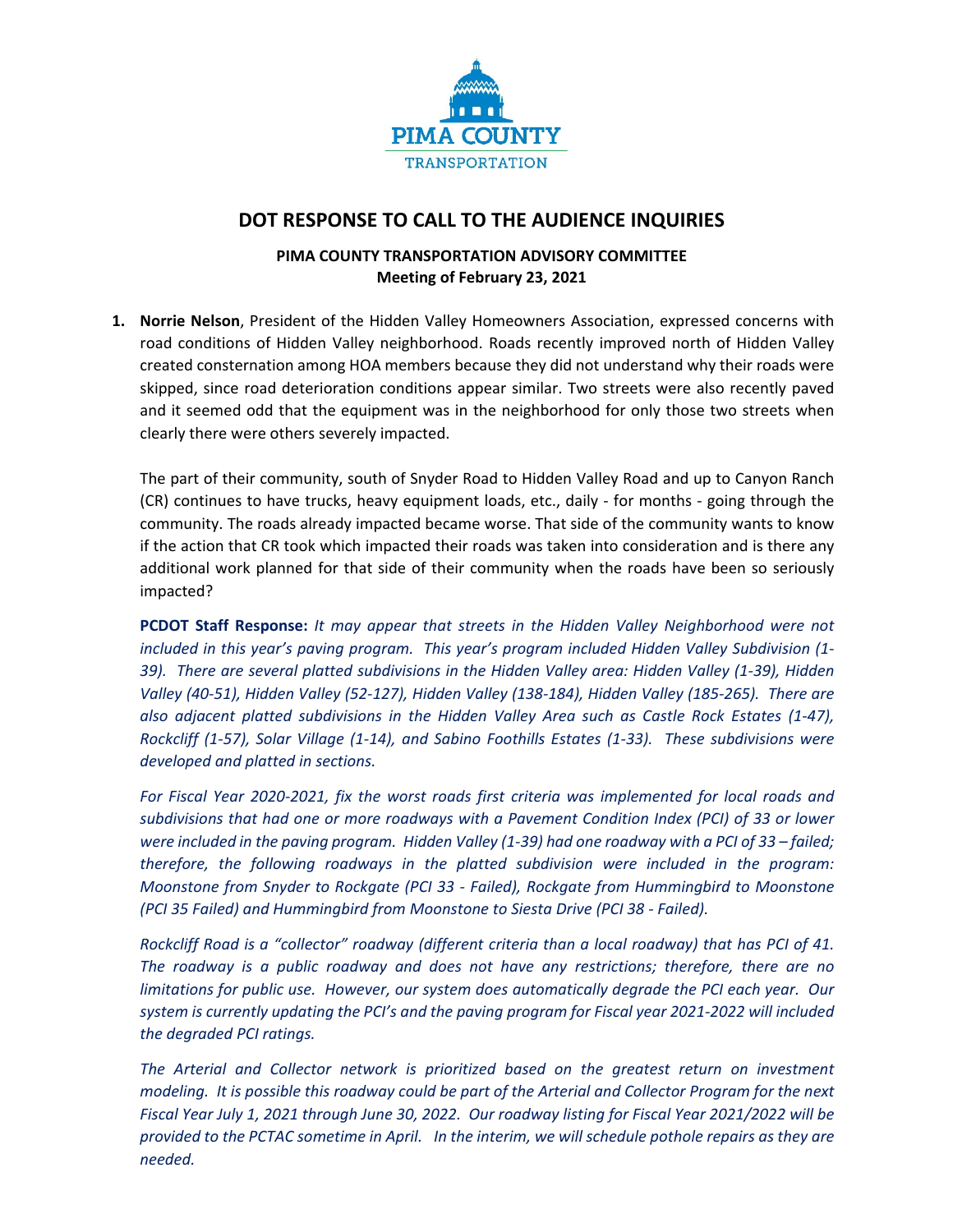

## **DOT RESPONSE TO CALL TO THE AUDIENCE INQUIRIES**

## **PIMA COUNTY TRANSPORTATION ADVISORY COMMITTEE Meeting of February 23, 2021**

**1. Norrie Nelson**, President of the Hidden Valley Homeowners Association, expressed concerns with road conditions of Hidden Valley neighborhood. Roads recently improved north of Hidden Valley created consternation among HOA members because they did not understand why their roads were skipped, since road deterioration conditions appear similar. Two streets were also recently paved and it seemed odd that the equipment was in the neighborhood for only those two streets when clearly there were others severely impacted.

The part of their community, south of Snyder Road to Hidden Valley Road and up to Canyon Ranch (CR) continues to have trucks, heavy equipment loads, etc., daily ‐ for months ‐ going through the community. The roads already impacted became worse. That side of the community wants to know if the action that CR took which impacted their roads was taken into consideration and is there any additional work planned for that side of their community when the roads have been so seriously impacted?

**PCDOT Staff Response:** *It may appear that streets in the Hidden Valley Neighborhood were not included in this year's paving program. This year's program included Hidden Valley Subdivision (1‐* 39). There are several platted subdivisions in the Hidden Valley area: Hidden Valley (1-39), Hidden Valley (40-51), Hidden Valley (52-127), Hidden Valley (138-184), Hidden Valley (185-265). There are *also adjacent platted subdivisions in the Hidden Valley Area such as Castle Rock Estates (1‐47),* Rockcliff (1-57), Solar Village (1-14), and Sabino Foothills Estates (1-33). These subdivisions were *developed and platted in sections.*

*For Fiscal Year 2020‐2021, fix the worst roads first criteria was implemented for local roads and subdivisions that had one or more roadways with a Pavement Condition Index (PCI) of 33 or lower* were included in the paving program. Hidden Valley (1-39) had one roadway with a PCI of 33 - failed; *therefore, the following roadways in the platted subdivision were included in the program: Moonstone from Snyder to Rockgate (PCI 33 ‐ Failed), Rockgate from Hummingbird to Moonstone (PCI 35 Failed) and Hummingbird from Moonstone to Siesta Drive (PCI 38 ‐ Failed).*

Rockcliff Road is a "collector" roadway (different criteria than a local roadway) that has PCI of 41. *The roadway is a public roadway and does not have any restrictions; therefore, there are no limitations for public use. However, our system does automatically degrade the PCI each year. Our* system is currently updating the PCI's and the paving program for Fiscal year 2021-2022 will included *the degraded PCI ratings.*

*The Arterial and Collector network is prioritized based on the greatest return on investment* modeling. It is possible this roadway could be part of the Arterial and Collector Program for the next Fiscal Year July 1, 2021 through June 30, 2022. Our roadway listing for Fiscal Year 2021/2022 will be provided to the PCTAC sometime in April. In the interim, we will schedule pothole repairs as they are *needed.*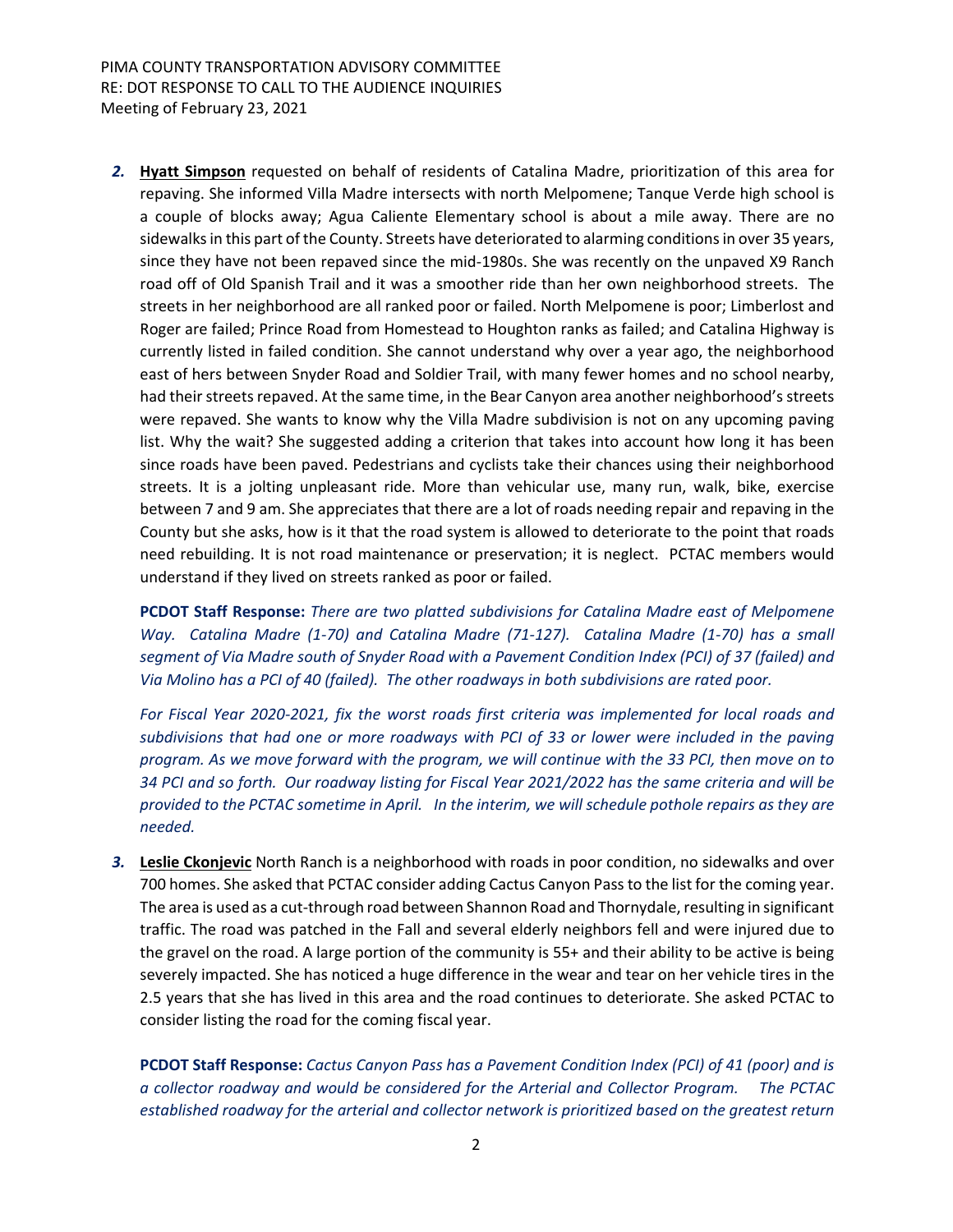*2.* **Hyatt Simpson** requested on behalf of residents of Catalina Madre, prioritization of this area for repaving. She informed Villa Madre intersects with north Melpomene; Tanque Verde high school is a couple of blocks away; Agua Caliente Elementary school is about a mile away. There are no sidewalks in this part of the County. Streets have deteriorated to alarming conditions in over 35 years, since they have not been repaved since the mid-1980s. She was recently on the unpaved X9 Ranch road off of Old Spanish Trail and it was a smoother ride than her own neighborhood streets. The streets in her neighborhood are all ranked poor or failed. North Melpomene is poor; Limberlost and Roger are failed; Prince Road from Homestead to Houghton ranks as failed; and Catalina Highway is currently listed in failed condition. She cannot understand why over a year ago, the neighborhood east of hers between Snyder Road and Soldier Trail, with many fewer homes and no school nearby, had their streets repaved. At the same time, in the Bear Canyon area another neighborhood's streets were repaved. She wants to know why the Villa Madre subdivision is not on any upcoming paving list. Why the wait? She suggested adding a criterion that takes into account how long it has been since roads have been paved. Pedestrians and cyclists take their chances using their neighborhood streets. It is a jolting unpleasant ride. More than vehicular use, many run, walk, bike, exercise between 7 and 9 am. She appreciates that there are a lot of roads needing repair and repaving in the County but she asks, how is it that the road system is allowed to deteriorate to the point that roads need rebuilding. It is not road maintenance or preservation; it is neglect. PCTAC members would understand if they lived on streets ranked as poor or failed.

**PCDOT Staff Response:** *There are two platted subdivisions for Catalina Madre east of Melpomene* Way. Catalina Madre (1-70) and Catalina Madre (71-127). Catalina Madre (1-70) has a small *segment of Via Madre south of Snyder Road with a Pavement Condition Index (PCI) of 37 (failed) and* Via Molino has a PCI of 40 (failed). The other roadways in both subdivisions are rated poor.

*For Fiscal Year 2020‐2021, fix the worst roads first criteria was implemented for local roads and subdivisions that had one or more roadways with PCI of 33 or lower were included in the paving* program. As we move forward with the program, we will continue with the 33 PCI, then move on to 34 PCI and so forth. Our roadway listing for Fiscal Year 2021/2022 has the same criteria and will be provided to the PCTAC sometime in April. In the interim, we will schedule pothole repairs as they are *needed.*

*3.* **Leslie Ckonjevic** North Ranch is a neighborhood with roads in poor condition, no sidewalks and over 700 homes. She asked that PCTAC consider adding Cactus Canyon Passto the list for the coming year. The area is used as a cut-through road between Shannon Road and Thornydale, resulting in significant traffic. The road was patched in the Fall and several elderly neighbors fell and were injured due to the gravel on the road. A large portion of the community is 55+ and their ability to be active is being severely impacted. She has noticed a huge difference in the wear and tear on her vehicle tires in the 2.5 years that she has lived in this area and the road continues to deteriorate. She asked PCTAC to consider listing the road for the coming fiscal year.

**PCDOT Staff Response:** *Cactus Canyon Pass has a Pavement Condition Index (PCI) of 41 (poor) and is a collector roadway and would be considered for the Arterial and Collector Program. The PCTAC established roadway for the arterial and collector network is prioritized based on the greatest return*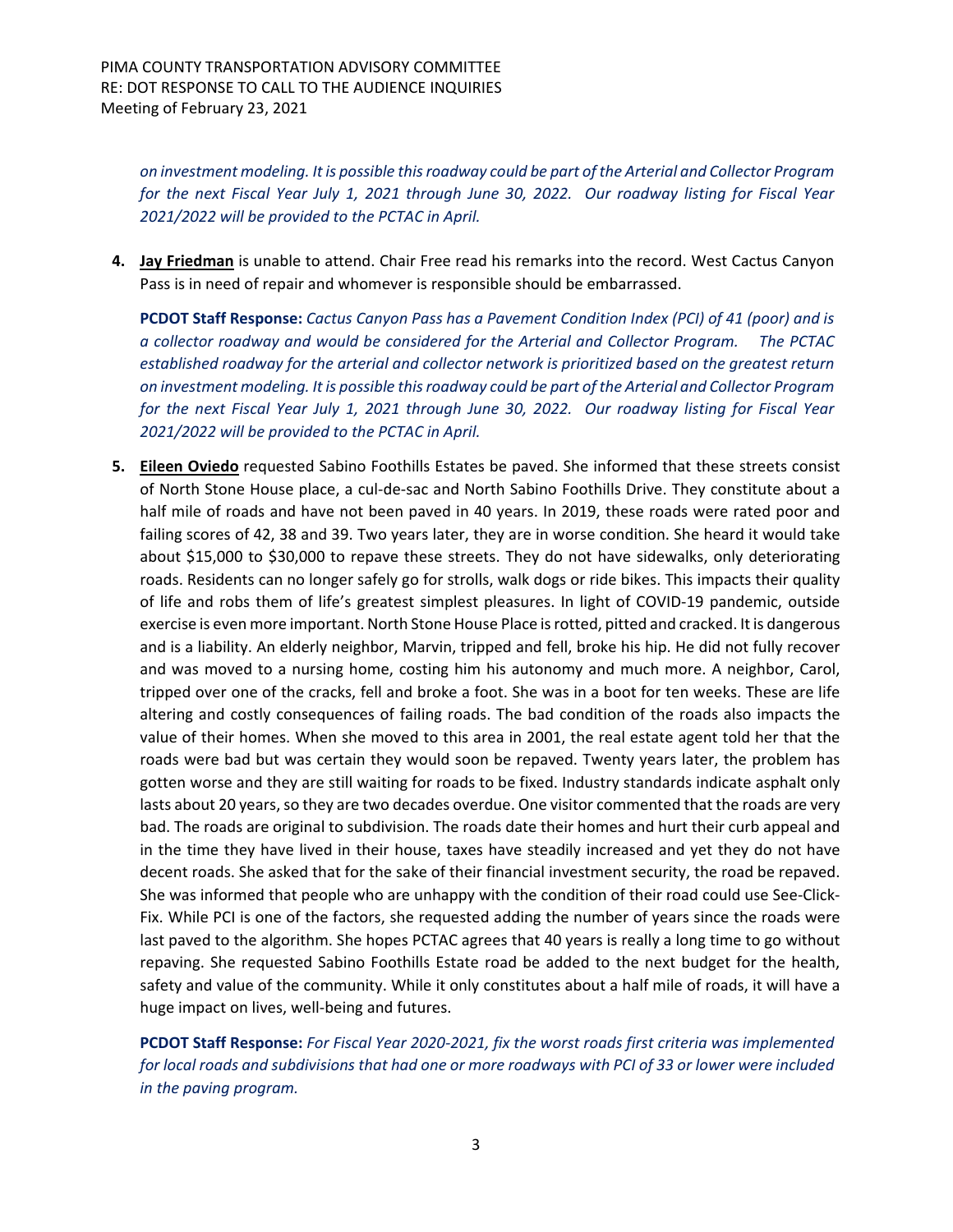*on investment modeling. It is possible thisroadway could be part of the Arterial and Collector Program* for the next Fiscal Year July 1, 2021 through June 30, 2022. Our roadway listing for Fiscal Year *2021/2022 will be provided to the PCTAC in April.*

**4. Jay Friedman** is unable to attend. Chair Free read his remarks into the record. West Cactus Canyon Pass is in need of repair and whomever is responsible should be embarrassed.

**PCDOT Staff Response:** *Cactus Canyon Pass has a Pavement Condition Index (PCI) of 41 (poor) and is a collector roadway and would be considered for the Arterial and Collector Program. The PCTAC established roadway for the arterial and collector network is prioritized based on the greatest return on investment modeling. It is possible thisroadway could be part of the Arterial and Collector Program* for the next Fiscal Year July 1, 2021 through June 30, 2022. Our roadway listing for Fiscal Year *2021/2022 will be provided to the PCTAC in April.*

**5. Eileen Oviedo** requested Sabino Foothills Estates be paved. She informed that these streets consist of North Stone House place, a cul‐de‐sac and North Sabino Foothills Drive. They constitute about a half mile of roads and have not been paved in 40 years. In 2019, these roads were rated poor and failing scores of 42, 38 and 39. Two years later, they are in worse condition. She heard it would take about \$15,000 to \$30,000 to repave these streets. They do not have sidewalks, only deteriorating roads. Residents can no longer safely go for strolls, walk dogs or ride bikes. This impacts their quality of life and robs them of life's greatest simplest pleasures. In light of COVID‐19 pandemic, outside exercise is even more important. North Stone House Place isrotted, pitted and cracked. It is dangerous and is a liability. An elderly neighbor, Marvin, tripped and fell, broke his hip. He did not fully recover and was moved to a nursing home, costing him his autonomy and much more. A neighbor, Carol, tripped over one of the cracks, fell and broke a foot. She was in a boot for ten weeks. These are life altering and costly consequences of failing roads. The bad condition of the roads also impacts the value of their homes. When she moved to this area in 2001, the real estate agent told her that the roads were bad but was certain they would soon be repaved. Twenty years later, the problem has gotten worse and they are still waiting for roads to be fixed. Industry standards indicate asphalt only lasts about 20 years, so they are two decades overdue. One visitor commented that the roads are very bad. The roads are original to subdivision. The roads date their homes and hurt their curb appeal and in the time they have lived in their house, taxes have steadily increased and yet they do not have decent roads. She asked that for the sake of their financial investment security, the road be repaved. She was informed that people who are unhappy with the condition of their road could use See‐Click‐ Fix. While PCI is one of the factors, she requested adding the number of years since the roads were last paved to the algorithm. She hopes PCTAC agrees that 40 years is really a long time to go without repaving. She requested Sabino Foothills Estate road be added to the next budget for the health, safety and value of the community. While it only constitutes about a half mile of roads, it will have a huge impact on lives, well-being and futures.

**PCDOT Staff Response:** *For Fiscal Year 2020‐2021, fix the worst roads first criteria was implemented* for local roads and subdivisions that had one or more roadways with PCI of 33 or lower were included *in the paving program.*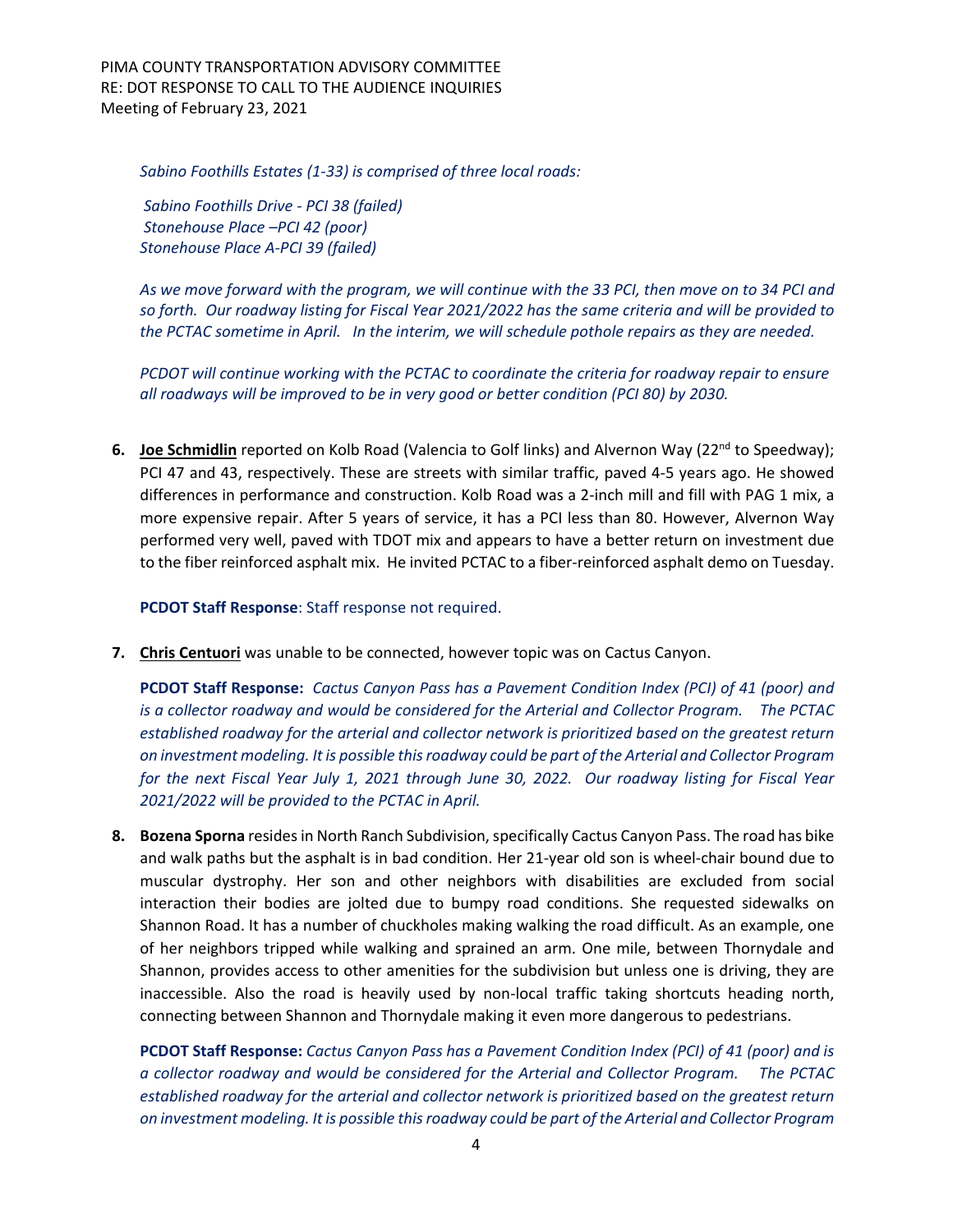PIMA COUNTY TRANSPORTATION ADVISORY COMMITTEE RE: DOT RESPONSE TO CALL TO THE AUDIENCE INQUIRIES Meeting of February 23, 2021

*Sabino Foothills Estates (1‐33) is comprised of three local roads:* 

*Sabino Foothills Drive ‐ PCI 38 (failed) Stonehouse Place –PCI 42 (poor) Stonehouse Place A‐PCI 39 (failed)*

As we move forward with the program, we will continue with the 33 PCI, then move on to 34 PCI and so forth. Our roadway listing for Fiscal Year 2021/2022 has the same criteria and will be provided to the PCTAC sometime in April. In the interim, we will schedule pothole repairs as they are needed.

*PCDOT will continue working with the PCTAC to coordinate the criteria for roadway repair to ensure all roadways will be improved to be in very good or better condition (PCI 80) by 2030.*

**6. Joe Schmidlin** reported on Kolb Road (Valencia to Golf links) and Alvernon Way (22<sup>nd</sup> to Speedway); PCI 47 and 43, respectively. These are streets with similar traffic, paved 4‐5 years ago. He showed differences in performance and construction. Kolb Road was a 2‐inch mill and fill with PAG 1 mix, a more expensive repair. After 5 years of service, it has a PCI less than 80. However, Alvernon Way performed very well, paved with TDOT mix and appears to have a better return on investment due to the fiber reinforced asphalt mix. He invited PCTAC to a fiber‐reinforced asphalt demo on Tuesday.

**PCDOT Staff Response**: Staff response not required.

**7. Chris Centuori** was unable to be connected, however topic was on Cactus Canyon.

**PCDOT Staff Response:** *Cactus Canyon Pass has a Pavement Condition Index (PCI) of 41 (poor) and is a collector roadway and would be considered for the Arterial and Collector Program. The PCTAC established roadway for the arterial and collector network is prioritized based on the greatest return on investment modeling. It is possible thisroadway could be part of the Arterial and Collector Program* for the next Fiscal Year July 1, 2021 through June 30, 2022. Our roadway listing for Fiscal Year *2021/2022 will be provided to the PCTAC in April.*

**8. Bozena Sporna** resides in North Ranch Subdivision, specifically Cactus Canyon Pass. The road has bike and walk paths but the asphalt is in bad condition. Her 21-year old son is wheel-chair bound due to muscular dystrophy. Her son and other neighbors with disabilities are excluded from social interaction their bodies are jolted due to bumpy road conditions. She requested sidewalks on Shannon Road. It has a number of chuckholes making walking the road difficult. As an example, one of her neighbors tripped while walking and sprained an arm. One mile, between Thornydale and Shannon, provides access to other amenities for the subdivision but unless one is driving, they are inaccessible. Also the road is heavily used by non-local traffic taking shortcuts heading north, connecting between Shannon and Thornydale making it even more dangerous to pedestrians.

**PCDOT Staff Response:** *Cactus Canyon Pass has a Pavement Condition Index (PCI) of 41 (poor) and is a collector roadway and would be considered for the Arterial and Collector Program. The PCTAC established roadway for the arterial and collector network is prioritized based on the greatest return on investment modeling. It is possible thisroadway could be part of the Arterial and Collector Program*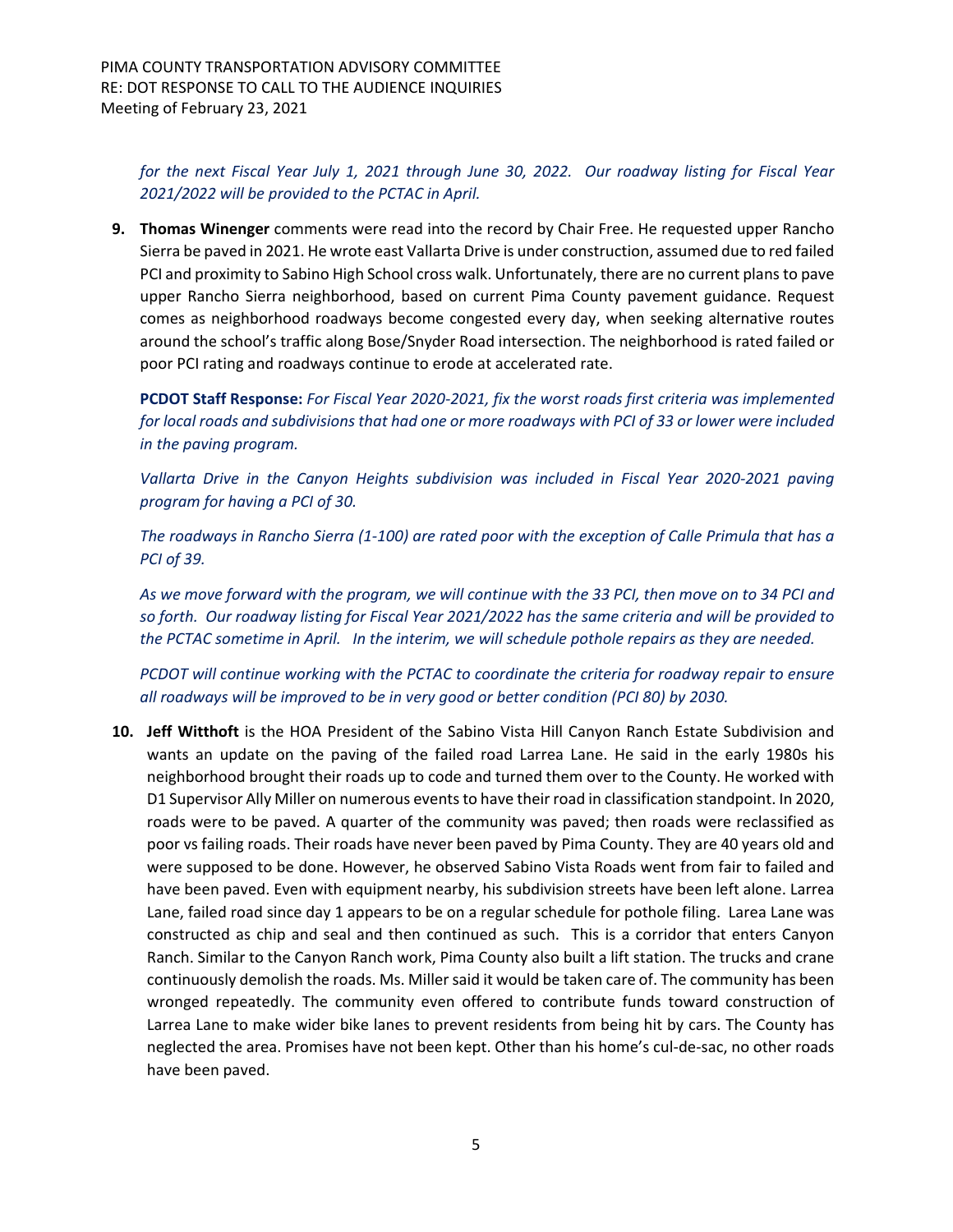for the next Fiscal Year July 1, 2021 through June 30, 2022. Our roadway listing for Fiscal Year *2021/2022 will be provided to the PCTAC in April.*

**9. Thomas Winenger** comments were read into the record by Chair Free. He requested upper Rancho Sierra be paved in 2021. He wrote east Vallarta Drive is under construction, assumed due to red failed PCI and proximity to Sabino High School cross walk. Unfortunately, there are no current plansto pave upper Rancho Sierra neighborhood, based on current Pima County pavement guidance. Request comes as neighborhood roadways become congested every day, when seeking alternative routes around the school's traffic along Bose/Snyder Road intersection. The neighborhood is rated failed or poor PCI rating and roadways continue to erode at accelerated rate.

**PCDOT Staff Response:** *For Fiscal Year 2020‐2021, fix the worst roads first criteria was implemented* for local roads and subdivisions that had one or more roadways with PCI of 33 or lower were included *in the paving program.* 

*Vallarta Drive in the Canyon Heights subdivision was included in Fiscal Year 2020‐2021 paving program for having a PCI of 30.*

The roadways in Rancho Sierra (1-100) are rated poor with the exception of Calle Primula that has a *PCI of 39.*

As we move forward with the program, we will continue with the 33 PCI, then move on to 34 PCI and so forth. Our roadway listing for Fiscal Year 2021/2022 has the same criteria and will be provided to the PCTAC sometime in April. In the interim, we will schedule pothole repairs as they are needed.

*PCDOT will continue working with the PCTAC to coordinate the criteria for roadway repair to ensure all roadways will be improved to be in very good or better condition (PCI 80) by 2030.*

**10. Jeff Witthoft** is the HOA President of the Sabino Vista Hill Canyon Ranch Estate Subdivision and wants an update on the paving of the failed road Larrea Lane. He said in the early 1980s his neighborhood brought their roads up to code and turned them over to the County. He worked with D1 Supervisor Ally Miller on numerous events to have their road in classification standpoint. In 2020, roads were to be paved. A quarter of the community was paved; then roads were reclassified as poor vs failing roads. Their roads have never been paved by Pima County. They are 40 years old and were supposed to be done. However, he observed Sabino Vista Roads went from fair to failed and have been paved. Even with equipment nearby, his subdivision streets have been left alone. Larrea Lane, failed road since day 1 appears to be on a regular schedule for pothole filing. Larea Lane was constructed as chip and seal and then continued as such. This is a corridor that enters Canyon Ranch. Similar to the Canyon Ranch work, Pima County also built a lift station. The trucks and crane continuously demolish the roads. Ms. Miller said it would be taken care of. The community has been wronged repeatedly. The community even offered to contribute funds toward construction of Larrea Lane to make wider bike lanes to prevent residents from being hit by cars. The County has neglected the area. Promises have not been kept. Other than his home's cul‐de‐sac, no other roads have been paved.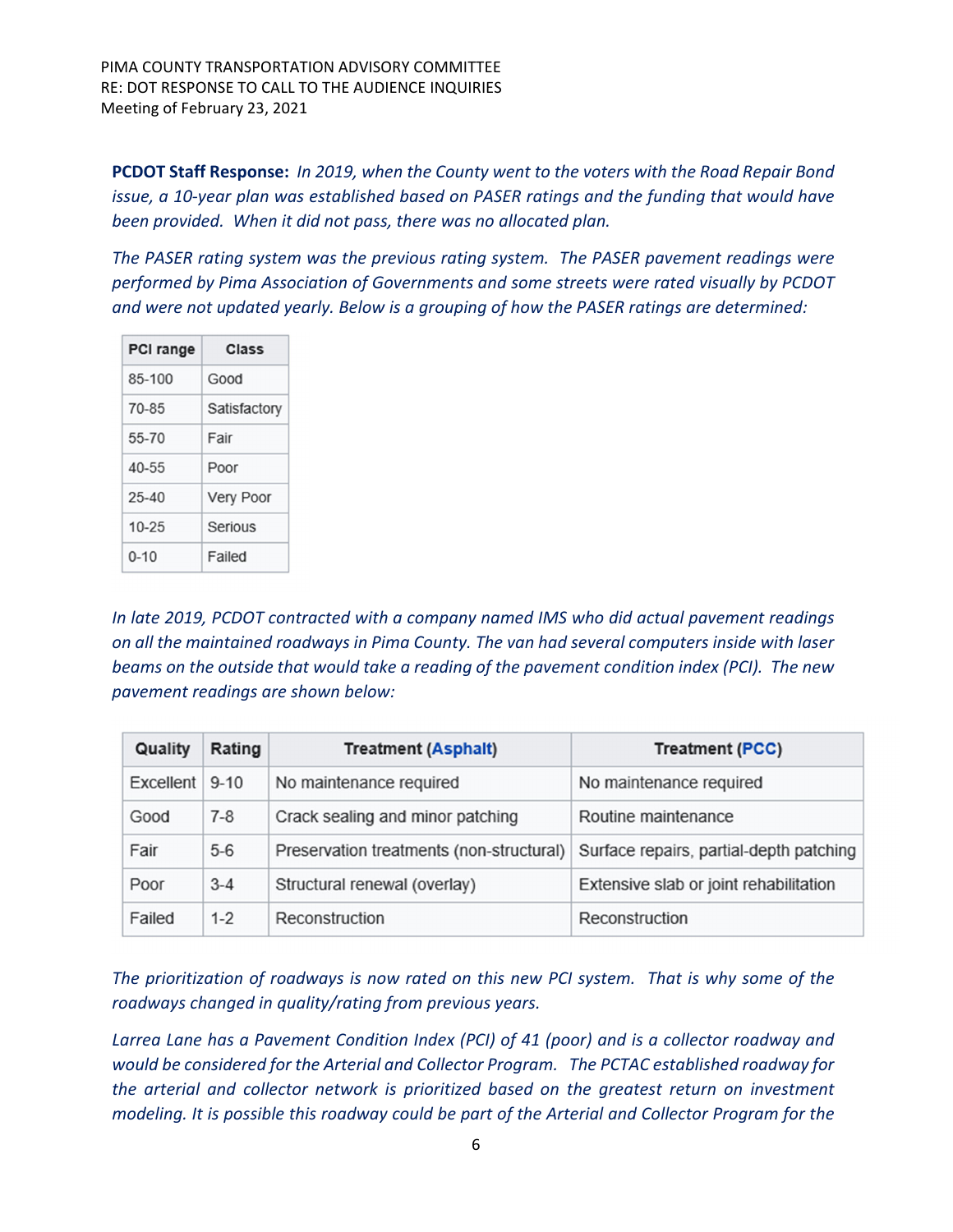PIMA COUNTY TRANSPORTATION ADVISORY COMMITTEE RE: DOT RESPONSE TO CALL TO THE AUDIENCE INQUIRIES Meeting of February 23, 2021

**PCDOT Staff Response:** *In 2019, when the County went to the voters with the Road Repair Bond issue, a 10‐year plan was established based on PASER ratings and the funding that would have been provided. When it did not pass, there was no allocated plan.* 

*The PASER rating system was the previous rating system. The PASER pavement readings were performed by Pima Association of Governments and some streets were rated visually by PCDOT and were not updated yearly. Below is a grouping of how the PASER ratings are determined:*

| <b>PCI range</b> | Class            |  |
|------------------|------------------|--|
| 85-100           | Good             |  |
| 70-85            | Satisfactory     |  |
| 55-70            | Fair             |  |
| $40 - 55$        | Poor             |  |
| $25 - 40$        | <b>Very Poor</b> |  |
| $10 - 25$        | Serious          |  |
| $0 - 10$         | Failed           |  |

*In late 2019, PCDOT contracted with a company named IMS who did actual pavement readings on all the maintained roadways in Pima County. The van had several computers inside with laser beams on the outside that would take a reading of the pavement condition index (PCI). The new pavement readings are shown below:*

| Quality   | Rating   | <b>Treatment (Asphalt)</b>               | <b>Treatment (PCC)</b>                  |
|-----------|----------|------------------------------------------|-----------------------------------------|
| Excellent | $9 - 10$ | No maintenance required                  | No maintenance required                 |
| Good      | $7-8$    | Crack sealing and minor patching         | Routine maintenance                     |
| Fair      | $5 - 6$  | Preservation treatments (non-structural) | Surface repairs, partial-depth patching |
| Poor      | $3 - 4$  | Structural renewal (overlay)             | Extensive slab or joint rehabilitation  |
| Failed    | $1 - 2$  | Reconstruction                           | Reconstruction                          |

The prioritization of roadways is now rated on this new PCI system. That is why some of the *roadways changed in quality/rating from previous years.*

*Larrea Lane has a Pavement Condition Index (PCI) of 41 (poor) and is a collector roadway and would be considered for the Arterial and Collector Program. The PCTAC established roadway for the arterial and collector network is prioritized based on the greatest return on investment modeling. It is possible this roadway could be part of the Arterial and Collector Program for the*